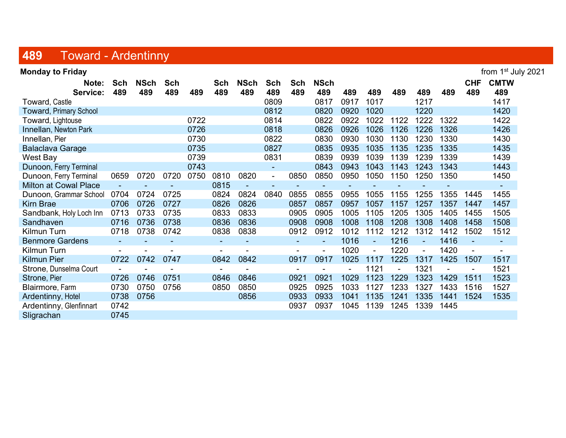## 489 Toward - Ardentinny

| <b>Monday to Friday</b>       |                |             |            |      |            |             |                |                |                |      |                |      |        |      |                | from 1 <sup>st</sup> July 2021 |
|-------------------------------|----------------|-------------|------------|------|------------|-------------|----------------|----------------|----------------|------|----------------|------|--------|------|----------------|--------------------------------|
| Note:                         | Sch            | <b>NSch</b> | <b>Sch</b> |      | <b>Sch</b> | <b>NSch</b> | <b>Sch</b>     | <b>Sch</b>     | <b>NSch</b>    |      |                |      |        |      | <b>CHF</b>     | <b>CMTW</b>                    |
| Service:                      | 489            | 489         | 489        | 489  | 489        | 489         | 489            | 489            | 489            | 489  | 489            | 489  | 489    | 489  | 489            | 489                            |
| Toward, Castle                |                |             |            |      |            |             | 0809           |                | 0817           | 0917 | 1017           |      | 1217   |      |                | 1417                           |
| <b>Toward, Primary School</b> |                |             |            |      |            |             | 0812           |                | 0820           | 0920 | 1020           |      | 1220   |      |                | 1420                           |
| Toward, Lightouse             |                |             |            | 0722 |            |             | 0814           |                | 0822           | 0922 | 1022           | 1122 | 1222   | 1322 |                | 1422                           |
| Innellan, Newton Park         |                |             |            | 0726 |            |             | 0818           |                | 0826           | 0926 | 1026           | 1126 | 1226   | 1326 |                | 1426                           |
| Innellan, Pier                |                |             |            | 0730 |            |             | 0822           |                | 0830           | 0930 | 1030           | 1130 | 1230   | 1330 |                | 1430                           |
| <b>Balaclava Garage</b>       |                |             |            | 0735 |            |             | 0827           |                | 0835           | 0935 | 1035           | 1135 | 1235   | 1335 |                | 1435                           |
| West Bay                      |                |             |            | 0739 |            |             | 0831           |                | 0839           | 0939 | 1039           | 1139 | 1239   | 1339 |                | 1439                           |
| Dunoon, Ferry Terminal        |                |             |            | 0743 |            |             | ۰              |                | 0843           | 0943 | 1043           | 1143 | 1243   | 1343 |                | 1443                           |
| Dunoon, Ferry Terminal        | 0659           | 0720        | 0720       | 0750 | 0810       | 0820        | $\blacksquare$ | 0850           | 0850           | 0950 | 1050           | 1150 | 1250   | 1350 |                | 1450                           |
| <b>Milton at Cowal Place</b>  | $\blacksquare$ |             |            |      | 0815       |             | $\sim$         | ۰              | $\blacksquare$ |      |                |      |        |      |                | $\sim$                         |
| Dunoon, Grammar School        | 0704           | 0724        | 0725       |      | 0824       | 0824        | 0840           | 0855           | 0855           | 0955 | 1055           | 1155 | 1255   | 1355 | 1445           | 1455                           |
| <b>Kirn Brae</b>              | 0706           | 0726        | 0727       |      | 0826       | 0826        |                | 0857           | 0857           | 0957 | 1057           | 1157 | 1257   | 1357 | 1447           | 1457                           |
| Sandbank, Holy Loch Inn       | 0713           | 0733        | 0735       |      | 0833       | 0833        |                | 0905           | 0905           | 1005 | 1105           | 1205 | 1305   | 1405 | 1455           | 1505                           |
| Sandhaven                     | 0716           | 0736        | 0738       |      | 0836       | 0836        |                | 0908           | 0908           | 1008 | 1108           | 1208 | 1308   | 1408 | 1458           | 1508                           |
| Kilmun Turn                   | 0718           | 0738        | 0742       |      | 0838       | 0838        |                | 0912           | 0912           | 1012 | 1112           | 1212 | 1312   | 1412 | 1502           | 1512                           |
| <b>Benmore Gardens</b>        |                |             |            |      |            |             |                | $\blacksquare$ |                | 1016 | $\sim$         | 1216 | $\sim$ | 1416 | $\blacksquare$ | $\sim$                         |
| <b>Kilmun Turn</b>            |                |             |            |      |            |             |                |                |                | 1020 | $\blacksquare$ | 1220 |        | 1420 |                | $\blacksquare$                 |
| <b>Kilmun Pier</b>            | 0722           | 0742        | 0747       |      | 0842       | 0842        |                | 0917           | 0917           | 1025 | 1117           | 1225 | 1317   | 1425 | 1507           | 1517                           |
| Strone, Dunselma Court        |                |             |            |      |            |             |                |                |                |      | 1121           |      | 1321   |      |                | 1521                           |
| Strone, Pier                  | 0726           | 0746        | 0751       |      | 0846       | 0846        |                | 0921           | 0921           | 1029 | 1123           | 1229 | 1323   | 1429 | 1511           | 1523                           |
| Blairmore, Farm               | 0730           | 0750        | 0756       |      | 0850       | 0850        |                | 0925           | 0925           | 1033 | 1127           | 1233 | 1327   | 1433 | 1516           | 1527                           |
| Ardentinny, Hotel             | 0738           | 0756        |            |      |            | 0856        |                | 0933           | 0933           | 1041 | 1135           | 1241 | 1335   | 1441 | 1524           | 1535                           |
| Ardentinny, Glenfinnart       | 0742           |             |            |      |            |             |                | 0937           | 0937           | 1045 | 1139           | 1245 | 1339   | 1445 |                |                                |
| Sligrachan                    | 0745           |             |            |      |            |             |                |                |                |      |                |      |        |      |                |                                |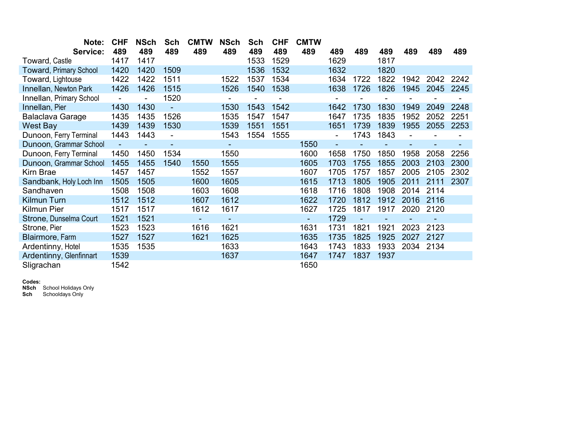| Note:                         | <b>CHF</b> | <b>NSch</b> | Sch  | <b>CMTW</b> | <b>NSch</b>              | Sch  | <b>CHF</b> | <b>CMTW</b>    |                |      |      |      |      |      |
|-------------------------------|------------|-------------|------|-------------|--------------------------|------|------------|----------------|----------------|------|------|------|------|------|
| Service:                      | 489        | 489         | 489  | 489         | 489                      | 489  | 489        | 489            | 489            | 489  | 489  | 489  | 489  | 489  |
| Toward, Castle                | 1417       | 1417        |      |             |                          | 1533 | 1529       |                | 1629           |      | 1817 |      |      |      |
| <b>Toward, Primary School</b> | 1420       | 1420        | 1509 |             |                          | 1536 | 1532       |                | 1632           |      | 1820 |      |      |      |
| Toward, Lightouse             | 1422       | 1422        | 1511 |             | 1522                     | 1537 | 1534       |                | 1634           | 1722 | 1822 | 1942 | 2042 | 2242 |
| Innellan, Newton Park         | 1426       | 1426        | 1515 |             | 1526                     | 1540 | 1538       |                | 1638           | 1726 | 1826 | 1945 | 2045 | 2245 |
| Innellan, Primary School      |            |             | 1520 |             |                          |      |            |                |                |      |      |      |      |      |
| Innellan, Pier                | 1430       | 1430        |      |             | 1530                     | 1543 | 1542       |                | 1642           | 1730 | 1830 | 1949 | 2049 | 2248 |
| Balaclava Garage              | 1435       | 1435        | 1526 |             | 1535                     | 1547 | 1547       |                | 1647           | 1735 | 1835 | 1952 | 2052 | 2251 |
| <b>West Bay</b>               | 1439       | 1439        | 1530 |             | 1539                     | 1551 | 1551       |                | 1651           | 1739 | 1839 | 1955 | 2055 | 2253 |
| Dunoon, Ferry Terminal        | 1443       | 1443        |      |             | 1543                     | 1554 | 1555       |                | Ξ.             | 1743 | 1843 |      |      |      |
| Dunoon, Grammar School        | ÷,         |             | ٠    |             | $\overline{\phantom{0}}$ |      |            | 1550           | $\blacksquare$ |      |      |      | ۰    |      |
| Dunoon, Ferry Terminal        | 1450       | 1450        | 1534 |             | 1550                     |      |            | 1600           | 1658           | 1750 | 1850 | 1958 | 2058 | 2256 |
| Dunoon, Grammar School        | 1455       | 1455        | 1540 | 1550        | 1555                     |      |            | 1605           | 1703           | 1755 | 1855 | 2003 | 2103 | 2300 |
| Kirn Brae                     | 1457       | 1457        |      | 1552        | 1557                     |      |            | 1607           | 1705           | 1757 | 1857 | 2005 | 2105 | 2302 |
| Sandbank, Holy Loch Inn       | 1505       | 1505        |      | 1600        | 1605                     |      |            | 1615           | 1713           | 1805 | 1905 | 2011 | 2111 | 2307 |
| Sandhaven                     | 1508       | 1508        |      | 1603        | 1608                     |      |            | 1618           | 1716           | 1808 | 1908 | 2014 | 2114 |      |
| <b>Kilmun Turn</b>            | 1512       | 1512        |      | 1607        | 1612                     |      |            | 1622           | 1720           | 1812 | 1912 | 2016 | 2116 |      |
| Kilmun Pier                   | 1517       | 1517        |      | 1612        | 1617                     |      |            | 1627           | 1725           | 1817 | 1917 | 2020 | 2120 |      |
| Strone, Dunselma Court        | 1521       | 1521        |      |             |                          |      |            | $\blacksquare$ | 1729           |      |      |      |      |      |
| Strone, Pier                  | 1523       | 1523        |      | 1616        | 1621                     |      |            | 1631           | 1731           | 1821 | 1921 | 2023 | 2123 |      |
| Blairmore, Farm               | 1527       | 1527        |      | 1621        | 1625                     |      |            | 1635           | 1735           | 1825 | 1925 | 2027 | 2127 |      |
| Ardentinny, Hotel             | 1535       | 1535        |      |             | 1633                     |      |            | 1643           | 1743           | 1833 | 1933 | 2034 | 2134 |      |
| Ardentinny, Glenfinnart       | 1539       |             |      |             | 1637                     |      |            | 1647           | 1747           | 1837 | 1937 |      |      |      |
| Sligrachan                    | 1542       |             |      |             |                          |      |            | 1650           |                |      |      |      |      |      |

### Codes:

**NSch** School Holidays Only

Sch Schooldays Only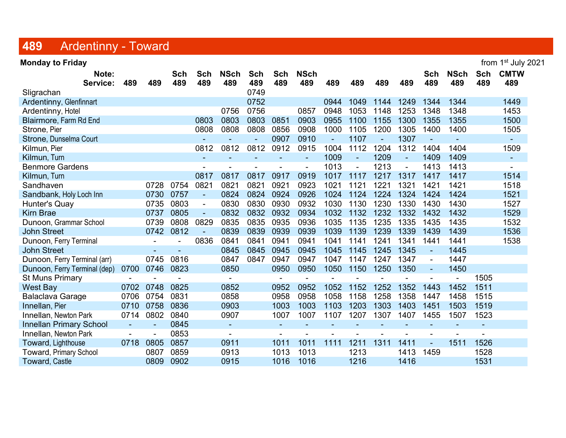### 489 Ardentinny - Toward

**Monday to Friday** from 1<sup>st</sup> July 2021 Note: Sch Sch NSch Sch Sch NSch Sch NSch Sch CMTW Service: 489 489 489 489 489 489 489 489 489 489 489 489 489 489 489 489 Sligrachan 0749 Ardentinny, Glenfinnart 1449 1249 1344 1544 1649 1652 1449 1544 1649 1652 1544 1649 1652 1552 1552 1553 1554 1 Ardentinny, Hotel 0756 0756 0857 0948 1053 1148 1253 1348 1348 1453 Blairmore, Farm Rd End 0803 0803 0803 0851 0903 0955 1100 1155 1300 1355 1355 1500 Strone, Pier 0808 0808 0808 0856 0908 1000 1105 1200 1305 1400 1400 1505 Strone, Dunselma Court - - - 0907 0910 - 1107 - 1307 - - - Kilmun, Pier 0812 0812 0812 0912 0915 1004 1112 1204 1312 1404 1404 1509 Kilmun, Turn - - - - - - - - - - - - - - - - - 1009 - 1209 - 1409 1409 - - - - -Benmore Gardens - - - - - 1013 - 1213 - 1413 1413 - Kilmun, Turn 0817 0817 0817 0917 0919 1017 1117 1217 1317 1417 1417 1514 Sandhaven 0728 0754 0821 0821 0821 0921 0923 1021 1121 1221 1321 1421 1421 1518 Sandbank, Holy Loch Inn 0730 0757 - 0824 0824 0924 0926 1024 1124 1224 1324 1424 1424 1521 Hunter's Quay 0735 0803 - 0830 0830 0930 0932 1030 1130 1230 1330 1430 1430 1527 Kirn Brae 2006 10832 0832 0832 0832 0933 0934 1032 1132 1232 1332 1432 1432 1529 Dunoon, Grammar School 0739 0808 0829 0835 0835 0935 0936 1035 1135 1235 1335 1435 1435 1532 John Street 0742 0812 - 0839 0839 0939 0939 1039 1139 1239 1339 1439 1439 1536 Dunoon, Ferry Terminal - - 0836 0841 0841 0941 0941 1041 1141 1241 1341 1441 1441 1538 John Street - - 0845 0845 0945 0945 1045 1145 1245 1345 - 1445 Dunoon, Ferry Terminal (arr) 0745 0816 0847 0847 0947 0947 1047 1147 1247 1347 - 1447 Dunoon, Ferry Terminal (dep) 0700 0746 0823 0850 0950 0950 1050 1150 1250 1350 - 1450 St Muns Primary **- - - - - - - - - - - - - - - -** - - - 1505 West Bay 0702 0748 0825 0852 0952 0952 1052 1152 1252 1352 1443 1452 1511 Balaclava Garage 0706 0754 0831 0858 0958 0958 1058 1158 1258 1358 1447 1458 1515 Innellan, Pier 0710 0758 0836 0903 1003 1003 1103 1203 1303 1403 1451 1503 1519 Innellan, Newton Park 0714 0802 0840 0907 1007 1007 1107 1207 1307 1407 1455 1507 1523 Innellan Primary School - - 0845 - - - - - - - - - - Innellan, Newton Park - - 0853 - - - - - - - - - - Toward, Lighthouse 0718 0805 0857 0911 1011 1011 1111 1211 1311 1411 - 1511 1526 Toward, Primary School 0807 0859 0913 1013 1013 1213 1413 1459 1528 Toward, Castle 0809 0902 0915 1016 1016 1216 1416 1531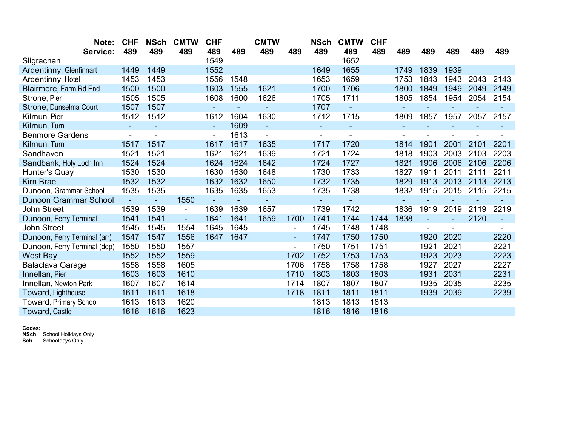| Note:                         | <b>CHF</b>     | <b>NSch</b>    | <b>CMTW</b>    | <b>CHF</b>     |        | <b>CMTW</b> |                | NSch           | <b>CMTW</b>    | <b>CHF</b> |      |      |      |      |      |
|-------------------------------|----------------|----------------|----------------|----------------|--------|-------------|----------------|----------------|----------------|------------|------|------|------|------|------|
| Service:                      | 489            | 489            | 489            | 489            | 489    | 489         | 489            | 489            | 489            | 489        | 489  | 489  | 489  | 489  | 489  |
| Sligrachan                    |                |                |                | 1549           |        |             |                |                | 1652           |            |      |      |      |      |      |
| Ardentinny, Glenfinnart       | 1449           | 1449           |                | 1552           |        |             |                | 1649           | 1655           |            | 1749 | 1839 | 1939 |      |      |
| Ardentinny, Hotel             | 1453           | 1453           |                | 1556           | 1548   |             |                | 1653           | 1659           |            | 1753 | 1843 | 1943 | 2043 | 2143 |
| Blairmore, Farm Rd End        | 1500           | 1500           |                | 1603           | 1555   | 1621        |                | 1700           | 1706           |            | 1800 | 1849 | 1949 | 2049 | 2149 |
| Strone, Pier                  | 1505           | 1505           |                | 1608           | 1600   | 1626        |                | 1705           | 1711           |            | 1805 | 1854 | 1954 | 2054 | 2154 |
| Strone, Dunselma Court        | 1507           | 1507           |                |                | ÷      |             |                | 1707           | $\blacksquare$ |            | ۰    |      |      |      |      |
| Kilmun, Pier                  | 1512           | 1512           |                | 1612           | 1604   | 1630        |                | 1712           | 1715           |            | 1809 | 1857 | 1957 | 2057 | 2157 |
| Kilmun, Turn                  | $\overline{a}$ |                |                | $\blacksquare$ | 1609   |             |                | $\blacksquare$ |                |            |      |      |      |      |      |
| <b>Benmore Gardens</b>        |                |                |                |                | 1613   |             |                | -              |                |            |      |      |      |      |      |
| Kilmun, Turn                  | 1517           | 1517           |                | 1617           | 1617   | 1635        |                | 1717           | 1720           |            | 1814 | 1901 | 2001 | 2101 | 2201 |
| Sandhaven                     | 1521           | 1521           |                | 1621           | 1621   | 1639        |                | 1721           | 1724           |            | 1818 | 1903 | 2003 | 2103 | 2203 |
| Sandbank, Holy Loch Inn       | 1524           | 1524           |                | 1624           | 1624   | 1642        |                | 1724           | 1727           |            | 1821 | 1906 | 2006 | 2106 | 2206 |
| Hunter's Quay                 | 1530           | 1530           |                | 1630           | 1630   | 1648        |                | 1730           | 1733           |            | 1827 | 1911 | 2011 | 2111 | 2211 |
| <b>Kirn Brae</b>              | 1532           | 1532           |                | 1632           | 1632   | 1650        |                | 1732           | 1735           |            | 1829 | 1913 | 2013 | 2113 | 2213 |
| Dunoon, Grammar School        | 1535           | 1535           |                | 1635           | 1635   | 1653        |                | 1735           | 1738           |            | 1832 | 1915 | 2015 | 2115 | 2215 |
| <b>Dunoon Grammar School</b>  | $\blacksquare$ | $\blacksquare$ | 1550           |                | $\sim$ |             |                | ٠              |                |            |      |      |      |      |      |
| <b>John Street</b>            | 1539           | 1539           | $\blacksquare$ | 1639           | 1639   | 1657        |                | 1739           | 1742           |            | 1836 | 1919 | 2019 | 2119 | 2219 |
| Dunoon, Ferry Terminal        | 1541           | 1541           | $\blacksquare$ | 1641           | 1641   | 1659        | 1700           | 1741           | 1744           | 1744       | 1838 |      |      | 2120 |      |
| <b>John Street</b>            | 1545           | 1545           | 1554           | 1645           | 1645   |             | $\blacksquare$ | 1745           | 1748           | 1748       |      |      |      |      |      |
| Dunoon, Ferry Terminal (arr)  | 1547           | 1547           | 1556           | 1647           | 1647   |             | $\blacksquare$ | 1747           | 1750           | 1750       |      | 1920 | 2020 |      | 2220 |
| Dunoon, Ferry Terminal (dep)  | 1550           | 1550           | 1557           |                |        |             |                | 1750           | 1751           | 1751       |      | 1921 | 2021 |      | 2221 |
| <b>West Bay</b>               | 1552           | 1552           | 1559           |                |        |             | 1702           | 1752           | 1753           | 1753       |      | 1923 | 2023 |      | 2223 |
| <b>Balaclava Garage</b>       | 1558           | 1558           | 1605           |                |        |             | 1706           | 1758           | 1758           | 1758       |      | 1927 | 2027 |      | 2227 |
| Innellan, Pier                | 1603           | 1603           | 1610           |                |        |             | 1710           | 1803           | 1803           | 1803       |      | 1931 | 2031 |      | 2231 |
| Innellan, Newton Park         | 1607           | 1607           | 1614           |                |        |             | 1714           | 1807           | 1807           | 1807       |      | 1935 | 2035 |      | 2235 |
| Toward, Lighthouse            | 1611           | 1611           | 1618           |                |        |             | 1718           | 1811           | 1811           | 1811       |      | 1939 | 2039 |      | 2239 |
| <b>Toward, Primary School</b> | 1613           | 1613           | 1620           |                |        |             |                | 1813           | 1813           | 1813       |      |      |      |      |      |
| <b>Toward, Castle</b>         | 1616           | 1616           | 1623           |                |        |             |                | 1816           | 1816           | 1816       |      |      |      |      |      |

Codes:

**NSch** School Holidays Only

**Sch** Schooldays Only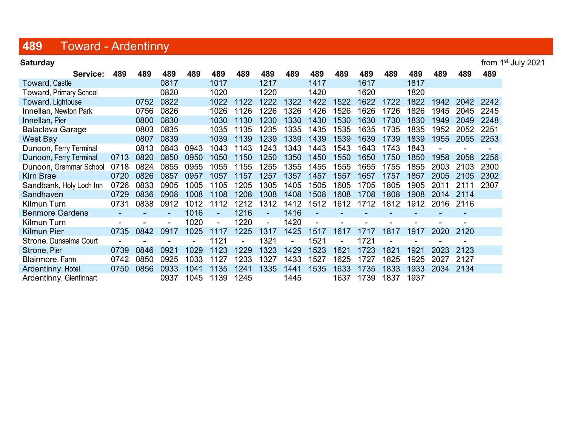# 489 Toward - Ardentinny

| <b>Saturday</b>         |      |      |      |      |                |      |      |      |      |      |      |      |      |      |      | from 1 <sup>st</sup> July 2021 |
|-------------------------|------|------|------|------|----------------|------|------|------|------|------|------|------|------|------|------|--------------------------------|
| Service:                | 489  | 489  | 489  | 489  | 489            | 489  | 489  | 489  | 489  | 489  | 489  | 489  | 489  | 489  | 489  | 489                            |
| <b>Toward, Castle</b>   |      |      | 0817 |      | 1017           |      | 1217 |      | 1417 |      | 1617 |      | 1817 |      |      |                                |
| Toward, Primary School  |      |      | 0820 |      | 1020           |      | 1220 |      | 1420 |      | 1620 |      | 1820 |      |      |                                |
| Toward, Lightouse       |      | 0752 | 0822 |      | 1022           | 1122 | 1222 | 1322 | 1422 | 1522 | 1622 | 1722 | 1822 | 1942 | 2042 | 2242                           |
| Innellan, Newton Park   |      | 0756 | 0826 |      | 1026           | 1126 | 1226 | 1326 | 1426 | 1526 | 1626 | 1726 | 1826 | 1945 | 2045 | 2245                           |
| Innellan, Pier          |      | 0800 | 0830 |      | 1030           | 1130 | 1230 | 1330 | 1430 | 1530 | 1630 | 1730 | 1830 | 1949 | 2049 | 2248                           |
| Balaclava Garage        |      | 0803 | 0835 |      | 1035           | 1135 | 1235 | 1335 | 1435 | 1535 | 1635 | 1735 | 1835 | 1952 | 2052 | 2251                           |
| West Bay                |      | 0807 | 0839 |      | 1039           | 1139 | 1239 | 1339 | 1439 | 1539 | 1639 | 1739 | 1839 | 1955 | 2055 | 2253                           |
| Dunoon, Ferry Terminal  |      | 0813 | 0843 | 0943 | 1043           | 1143 | 1243 | 1343 | 1443 | 1543 | 1643 | 1743 | 1843 |      |      |                                |
| Dunoon, Ferry Terminal  | 0713 | 0820 | 0850 | 0950 | 1050           | 1150 | 1250 | 1350 | 1450 | 1550 | 1650 | 1750 | 1850 | 1958 | 2058 | 2256                           |
| Dunoon, Grammar School  | 0718 | 0824 | 0855 | 0955 | 1055           | 1155 | 255  | 1355 | 1455 | 1555 | 1655 | 1755 | 1855 | 2003 | 2103 | 2300                           |
| <b>Kirn Brae</b>        | 0720 | 0826 | 0857 | 0957 | 1057           | 1157 | 1257 | 1357 | 1457 | 1557 | 1657 | 1757 | 1857 | 2005 | 2105 | 2302                           |
| Sandbank, Holy Loch Inn | 0726 | 0833 | 0905 | 1005 | 1105           | 1205 | 1305 | 1405 | 1505 | 1605 | 1705 | 1805 | 1905 | 2011 | 21   | 2307                           |
| Sandhaven               | 0729 | 0836 | 0908 | 1008 | 1108           | 1208 | 1308 | 1408 | 1508 | 1608 | 1708 | 1808 | 1908 | 2014 | 2114 |                                |
| Kilmun Turn             | 0731 | 0838 | 0912 | 1012 | 1112           | 1212 | 1312 | 1412 | 1512 | 1612 | 1712 | 1812 | 1912 | 2016 | 2116 |                                |
| <b>Benmore Gardens</b>  |      |      |      | 1016 | $\blacksquare$ | 1216 | ٠    | 1416 |      |      |      |      |      |      |      |                                |
| Kilmun Turn             |      |      |      | 1020 | $\blacksquare$ | 1220 |      | 1420 |      |      |      |      |      |      |      |                                |
| <b>Kilmun Pier</b>      | 0735 | 0842 | 0917 | 1025 | 1117           | 1225 | 1317 | 1425 | 1517 | 1617 | 171  | 181  | 1917 | 2020 | 2120 |                                |
| Strone, Dunselma Court  |      |      |      |      | 1121           |      | 1321 |      | 1521 |      | 1721 |      |      |      |      |                                |
| Strone, Pier            | 0739 | 0846 | 0921 | 1029 | 1123           | 1229 | 1323 | 1429 | 1523 | 1621 | 1723 | 1821 | 1921 | 2023 | 2123 |                                |
| Blairmore, Farm         | 0742 | 0850 | 0925 | 1033 | 1127           | 1233 | 1327 | 1433 | 1527 | 1625 | 1727 | 1825 | 1925 | 2027 | 2127 |                                |
| Ardentinny, Hotel       | 0750 | 0856 | 0933 | 1041 | 1135           | 1241 | 1335 | 1441 | 1535 | 1633 | 1735 | 1833 | 1933 | 2034 | 2134 |                                |
| Ardentinny, Glenfinnart |      |      | 0937 | 1045 | 1139           | 1245 |      | 1445 |      | 1637 | 1739 | 1837 | 1937 |      |      |                                |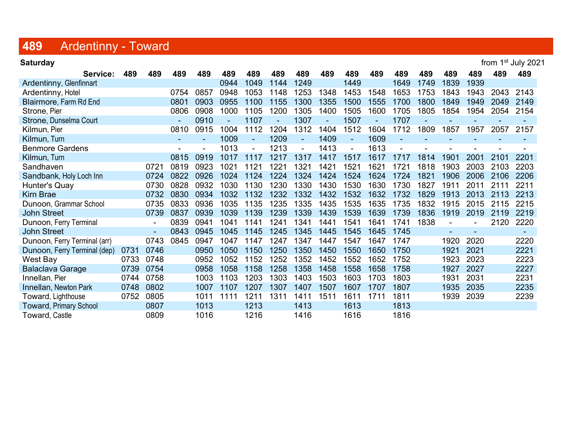# 489 Ardentinny - Toward

| <b>Saturday</b>               | from 1 <sup>st</sup> July 2021 |      |      |      |      |        |      |                |      |                |      |                |      |                          |                          |      |        |
|-------------------------------|--------------------------------|------|------|------|------|--------|------|----------------|------|----------------|------|----------------|------|--------------------------|--------------------------|------|--------|
| Service:                      | 489                            | 489  | 489  | 489  | 489  | 489    | 489  | 489            | 489  | 489            | 489  | 489            | 489  | 489                      | 489                      | 489  | 489    |
| Ardentinny, Glenfinnart       |                                |      |      |      | 0944 | 1049   | 1144 | 1249           |      | 1449           |      | 1649           | 1749 | 1839                     | 1939                     |      |        |
| Ardentinny, Hotel             |                                |      | 0754 | 0857 | 0948 | 1053   | 1148 | 1253           | 1348 | 1453           | 1548 | 1653           | 1753 | 1843                     | 1943                     | 2043 | 2143   |
| Blairmore, Farm Rd End        |                                |      | 0801 | 0903 | 0955 | 1100   | 1155 | 1300           | 1355 | 1500           | 1555 | 1700           | 1800 | 1849                     | 1949                     | 2049 | 2149   |
| Strone, Pier                  |                                |      | 0806 | 0908 | 1000 | 1105   | 1200 | 1305           | 1400 | 1505           | 1600 | 1705           | 1805 | 1854                     | 1954                     | 2054 | 2154   |
| Strone, Dunselma Court        |                                |      |      | 0910 |      | 1107   |      | 1307           |      | 1507           |      | 1707           |      |                          |                          |      |        |
| Kilmun, Pier                  |                                |      | 0810 | 0915 | 1004 | 1112   | 1204 | 1312           | 1404 | 1512           | 1604 | 1712           | 1809 | 1857                     | 1957                     | 2057 | 2157   |
| Kilmun, Turn                  |                                |      |      |      | 1009 | $\sim$ | 1209 | $\blacksquare$ | 1409 | $\blacksquare$ | 1609 | $\blacksquare$ |      |                          |                          |      |        |
| <b>Benmore Gardens</b>        |                                |      |      |      | 1013 |        | 1213 |                | 1413 |                | 1613 |                |      |                          |                          |      |        |
| Kilmun, Turn                  |                                |      | 0815 | 0919 | 1017 | 1117   | 1217 | 1317           | 1417 | 1517           | 1617 | 1717           | 1814 | 1901                     | 2001                     | 2101 | 2201   |
| Sandhaven                     |                                | 0721 | 0819 | 0923 | 1021 | 1121   | 1221 | 1321           | 1421 | 1521           | 1621 | 1721           | 1818 | 1903                     | 2003                     | 2103 | 2203   |
| Sandbank, Holy Loch Inn       |                                | 0724 | 0822 | 0926 | 1024 | 1124   | 1224 | 1324           | 1424 | 1524           | 1624 | 1724           | 1821 | 1906                     | 2006                     | 2106 | 2206   |
| Hunter's Quay                 |                                | 0730 | 0828 | 0932 | 1030 | 1130   | 1230 | 1330           | 1430 | 1530           | 1630 | 1730           | 1827 | 1911                     | 2011                     | 2111 | 2211   |
| <b>Kirn Brae</b>              |                                | 0732 | 0830 | 0934 | 1032 | 1132   | 1232 | 1332           | 1432 | 1532           | 1632 | 1732           | 1829 | 1913                     | 2013                     | 2113 | 2213   |
| Dunoon, Grammar School        |                                | 0735 | 0833 | 0936 | 1035 | 1135   | 1235 | 1335           | 1435 | 1535           | 1635 | 1735           | 1832 | 1915                     | 2015                     | 2115 | 2215   |
| <b>John Street</b>            |                                | 0739 | 0837 | 0939 | 1039 | 1139   | 1239 | 1339           | 1439 | 1539           | 1639 | 1739           | 1836 | 1919                     | 2019                     | 2119 | 2219   |
| Dunoon, Ferry Terminal        |                                |      | 0839 | 0941 | 1041 | 1141   | 1241 | 1341           | 1441 | 1541           | 1641 | 1741           | 1838 | $\blacksquare$           |                          | 2120 | 2220   |
| <b>John Street</b>            |                                |      | 0843 | 0945 | 1045 | 1145   | 1245 | 1345           | 1445 | 1545           | 1645 | 1745           |      | $\overline{\phantom{a}}$ | $\overline{\phantom{0}}$ |      | $\sim$ |
| Dunoon, Ferry Terminal (arr)  |                                | 0743 | 0845 | 0947 | 1047 | 1147   | 1247 | 1347           | 1447 | 1547           | 1647 | 1747           |      | 1920                     | 2020                     |      | 2220   |
| Dunoon, Ferry Terminal (dep)  | 0731                           | 0746 |      | 0950 | 1050 | 1150   | 1250 | 1350           | 1450 | 1550           | 1650 | 1750           |      | 1921                     | 2021                     |      | 2221   |
| West Bay                      | 0733                           | 0748 |      | 0952 | 1052 | 1152   | 1252 | 1352           | 1452 | 1552           | 1652 | 1752           |      | 1923                     | 2023                     |      | 2223   |
| <b>Balaclava Garage</b>       | 0739                           | 0754 |      | 0958 | 1058 | 1158   | 1258 | 1358           | 1458 | 1558           | 1658 | 1758           |      | 1927                     | 2027                     |      | 2227   |
| Innellan, Pier                | 0744                           | 0758 |      | 1003 | 1103 | 1203   | 1303 | 1403           | 1503 | 1603           | 1703 | 1803           |      | 1931                     | 2031                     |      | 2231   |
| Innellan, Newton Park         | 0748                           | 0802 |      | 1007 | 1107 | 1207   | 1307 | 1407           | 1507 | 1607           | 1707 | 1807           |      | 1935                     | 2035                     |      | 2235   |
| Toward, Lighthouse            | 0752                           | 0805 |      | 1011 | 1111 | 1211   | 1311 | 1411           | 1511 | 1611           | 1711 | 1811           |      | 1939                     | 2039                     |      | 2239   |
| <b>Toward, Primary School</b> |                                | 0807 |      | 1013 |      | 1213   |      | 1413           |      | 1613           |      | 1813           |      |                          |                          |      |        |
| Toward, Castle                |                                | 0809 |      | 1016 |      | 1216   |      | 1416           |      | 1616           |      | 1816           |      |                          |                          |      |        |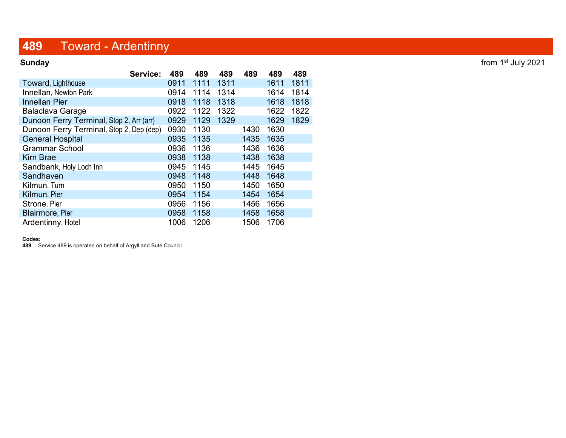## 489 Toward - Ardentinny

| Service:                                 | 489  | 489  | 489  | 489  | 489  | 489  |
|------------------------------------------|------|------|------|------|------|------|
| Toward, Lighthouse                       | 0911 | 1111 | 1311 |      | 1611 | 1811 |
| Innellan, Newton Park                    | 0914 | 1114 | 1314 |      | 1614 | 1814 |
| <b>Innellan Pier</b>                     | 0918 | 1118 | 1318 |      | 1618 | 1818 |
| <b>Balaclava Garage</b>                  | 0922 | 1122 | 1322 |      | 1622 | 1822 |
| Dunoon Ferry Terminal, Stop 2, Arr (arr) | 0929 | 1129 | 1329 |      | 1629 | 1829 |
| Dunoon Ferry Terminal, Stop 2, Dep (dep) | 0930 | 1130 |      | 1430 | 1630 |      |
| <b>General Hospital</b>                  | 0935 | 1135 |      | 1435 | 1635 |      |
| <b>Grammar School</b>                    | 0936 | 1136 |      | 1436 | 1636 |      |
| <b>Kirn Brae</b>                         | 0938 | 1138 |      | 1438 | 1638 |      |
| Sandbank, Holy Loch Inn                  | 0945 | 1145 |      | 1445 | 1645 |      |
| Sandhaven                                | 0948 | 1148 |      | 1448 | 1648 |      |
| Kilmun, Turn                             | 0950 | 1150 |      | 1450 | 1650 |      |
| Kilmun, Pier                             | 0954 | 1154 |      | 1454 | 1654 |      |
| Strone, Pier                             | 0956 | 1156 |      | 1456 | 1656 |      |
| <b>Blairmore, Pier</b>                   | 0958 | 1158 |      | 1458 | 1658 |      |
| Ardentinny, Hotel                        | 1006 | 1206 |      | 1506 | 1706 |      |

### Codes:

489 Service 489 is operated on behalf of Argyll and Bute Council

Sunday from 1<sup>st</sup> July 2021